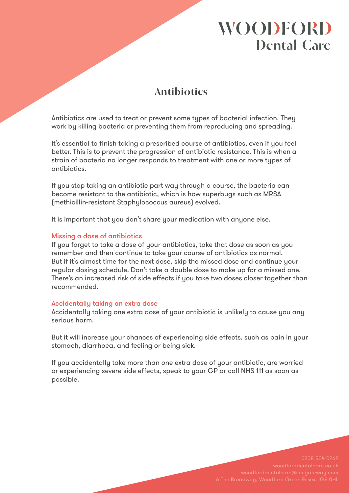# **WOODFORD Dental Care**

## **Antibiotics**

Antibiotics are used to treat or prevent some types of bacterial infection. They work by killing bacteria or preventing them from reproducing and spreading.

It's essential to finish taking a prescribed course of antibiotics, even if you feel better. This is to prevent the progression of antibiotic resistance. This is when a strain of bacteria no longer responds to treatment with one or more types of antibiotics.

If you stop taking an antibiotic part way through a course, the bacteria can become resistant to the antibiotic, which is how superbugs such as MRSA (methicillin-resistant Staphylococcus aureus) evolved.

It is important that you don't share your medication with anyone else.

### Missing a dose of antibiotics

If you forget to take a dose of your antibiotics, take that dose as soon as you remember and then continue to take your course of antibiotics as normal. But if it's almost time for the next dose, skip the missed dose and continue your regular dosing schedule. Don't take a double dose to make up for a missed one. There's an increased risk of side effects if you take two doses closer together than recommended.

### Accidentally taking an extra dose

Accidentally taking one extra dose of your antibiotic is unlikely to cause you any serious harm.

But it will increase your chances of experiencing side effects, such as pain in your stomach, diarrhoea, and feeling or being sick.

If you accidentally take more than one extra dose of your antibiotic, are worried or experiencing severe side effects, speak to your GP or call NHS 111 as soon as possible.